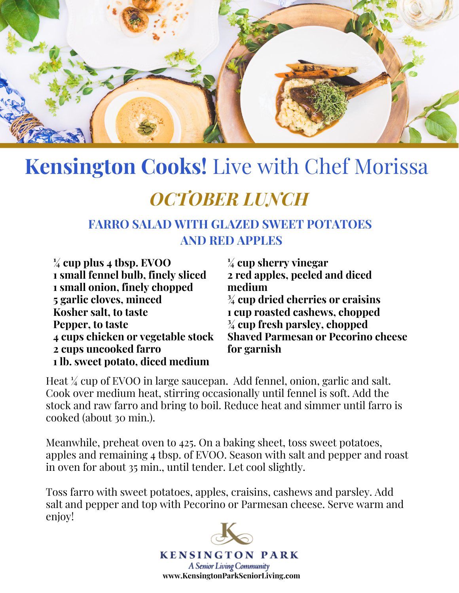

## **Kensington Cooks!** Live with Chef Morissa

### *OCTOBER LUNCH*

### **FARRO SALAD WITH GLAZED SWEET POTATOES AND RED APPLES**

**¼ cup plus 4 tbsp. EVOO small fennel bulb, finely sliced small onion, finely chopped garlic cloves, minced Kosher salt, to taste Pepper, to taste cups chicken or vegetable stock cups uncooked farro lb. sweet potato, diced medium**

**¼ cup sherry vinegar 2 red apples, peeled and diced medium ¾ cup dried cherries or craisins 1 cup roasted cashews, chopped ¾ cup fresh parsley, chopped Shaved Parmesan or Pecorino cheese for garnish**

Heat ¼ cup of EVOO in large saucepan. Add fennel, onion, garlic and salt. Cook over medium heat, stirring occasionally until fennel is soft. Add the stock and raw farro and bring to boil. Reduce heat and simmer until farro is cooked (about 30 min.).

Meanwhile, preheat oven to 425. On a baking sheet, toss sweet potatoes, apples and remaining 4 tbsp. of EVOO. Season with salt and pepper and roast in oven for about 35 min., until tender. Let cool slightly.

Toss farro with sweet potatoes, apples, craisins, cashews and parsley. Add salt and pepper and top with Pecorino or Parmesan cheese. Serve warm and enjoy!